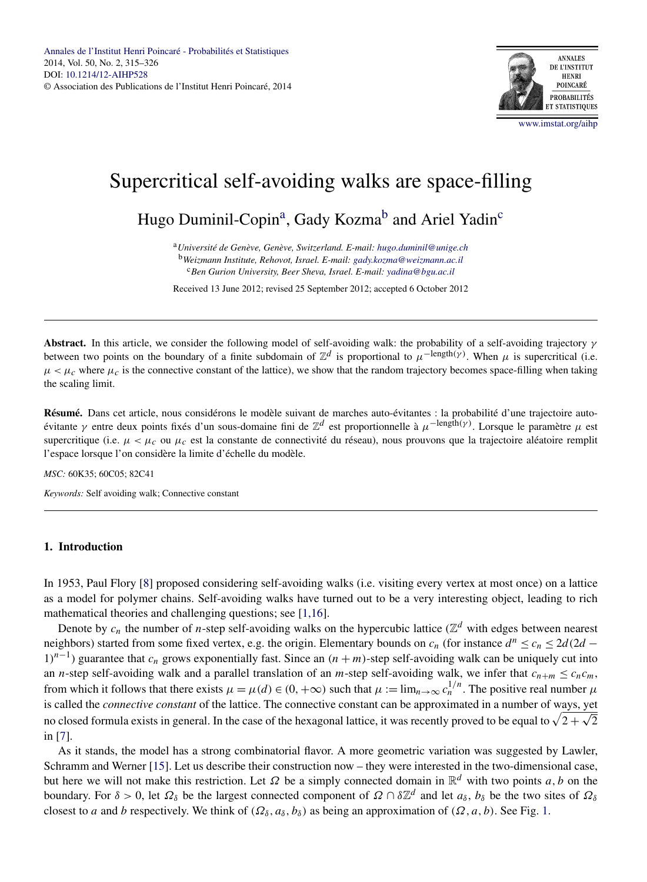

# Supercritical self-avoiding walks are space-filling

Hugo Duminil-Copin<sup>a</sup>, Gady Kozma<sup>b</sup> and Ariel Yadin<sup>c</sup>

<sup>a</sup>*Université de Genève, Genève, Switzerland. E-mail: [hugo.duminil@unige.ch](mailto:hugo.duminil@unige.ch)* <sup>b</sup>*Weizmann Institute, Rehovot, Israel. E-mail: [gady.kozma@weizmann.ac.il](mailto:gady.kozma@weizmann.ac.il)* <sup>c</sup>*Ben Gurion University, Beer Sheva, Israel. E-mail: [yadina@bgu.ac.il](mailto:yadina@bgu.ac.il)*

Received 13 June 2012; revised 25 September 2012; accepted 6 October 2012

**Abstract.** In this article, we consider the following model of self-avoiding walk: the probability of a self-avoiding trajectory *γ* between two points on the boundary of a finite subdomain of  $\mathbb{Z}^d$  is proportional to  $\mu^{-\text{length}}(\gamma)$ . When  $\mu$  is supercritical (i.e.  $\mu < \mu_c$  where  $\mu_c$  is the connective constant of the lattice), we show that the random trajectory becomes space-filling when taking the scaling limit.

**Résumé.** Dans cet article, nous considérons le modèle suivant de marches auto-évitantes : la probabilité d'une trajectoire autoévitante *γ* entre deux points fixés d'un sous-domaine fini de Z*<sup>d</sup>* est proportionnelle à *μ*−length*(γ)*. Lorsque le paramètre *μ* est supercritique (i.e.  $\mu < \mu_c$  ou  $\mu_c$  est la constante de connectivité du réseau), nous prouvons que la trajectoire aléatoire remplit l'espace lorsque l'on considère la limite d'échelle du modèle.

*MSC:* 60K35; 60C05; 82C41

*Keywords:* Self avoiding walk; Connective constant

# **1. Introduction**

In 1953, Paul Flory [\[8\]](#page-10-0) proposed considering self-avoiding walks (i.e. visiting every vertex at most once) on a lattice as a model for polymer chains. Self-avoiding walks have turned out to be a very interesting object, leading to rich mathematical theories and challenging questions; see [\[1,16\]](#page-10-0).

Denote by  $c_n$  the number of *n*-step self-avoiding walks on the hypercubic lattice ( $\mathbb{Z}^d$  with edges between nearest neighbors) started from some fixed vertex, e.g. the origin. Elementary bounds on  $c_n$  (for instance  $d^n \le c_n \le 2d(2d -$ 1*)n*<sup>−</sup>1) guarantee that *cn* grows exponentially fast. Since an *(n* + *m)*-step self-avoiding walk can be uniquely cut into an *n*-step self-avoiding walk and a parallel translation of an *m*-step self-avoiding walk, we infer that  $c_{n+m} \leq c_n c_m$ , from which it follows that there exists  $\mu = \mu(d) \in (0, +\infty)$  such that  $\mu := \lim_{n\to\infty} c_n^{1/n}$ . The positive real number  $\mu$ is called the *connective constant* of the lattice. The connective constant can be approximated in a number of ways, yet no closed formula exists in general. In the case of the hexagonal lattice, it was recently proved to be equal to  $\sqrt{2 + \sqrt{2}}$ in [\[7\]](#page-10-0).

As it stands, the model has a strong combinatorial flavor. A more geometric variation was suggested by Lawler, Schramm and Werner [\[15\]](#page-10-0). Let us describe their construction now – they were interested in the two-dimensional case, but here we will not make this restriction. Let  $\Omega$  be a simply connected domain in  $\mathbb{R}^d$  with two points *a*, *b* on the boundary. For  $\delta > 0$ , let  $\Omega_{\delta}$  be the largest connected component of  $\Omega \cap \delta \mathbb{Z}^d$  and let  $a_{\delta}$ ,  $b_{\delta}$  be the two sites of  $\Omega_{\delta}$ closest to *a* and *b* respectively. We think of  $(\Omega_{\delta}, a_{\delta}, b_{\delta})$  as being an approximation of  $(\Omega, a, b)$ . See Fig. [1.](#page-1-0)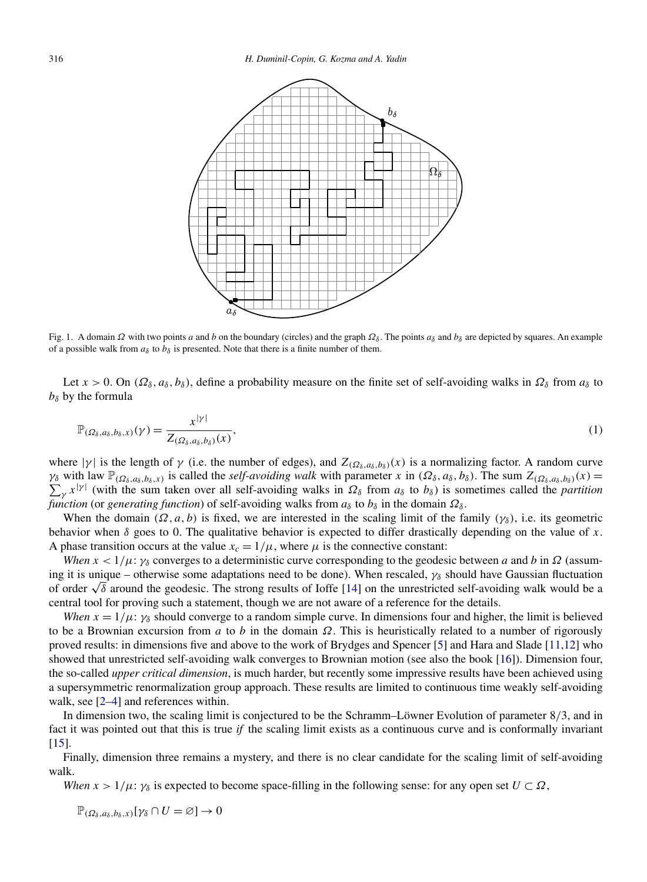<span id="page-1-0"></span>

Fig. 1. A domain  $\Omega$  with two points *a* and *b* on the boundary (circles) and the graph  $\Omega_{\delta}$ . The points  $a_{\delta}$  and  $b_{\delta}$  are depicted by squares. An example of a possible walk from  $a_{\delta}$  to  $b_{\delta}$  is presented. Note that there is a finite number of them.

Let  $x > 0$ . On  $(\Omega_{\delta}, a_{\delta}, b_{\delta})$ , define a probability measure on the finite set of self-avoiding walks in  $\Omega_{\delta}$  from  $a_{\delta}$  to  $b_{\delta}$  by the formula

$$
\mathbb{P}_{(\Omega_\delta, a_\delta, b_\delta, x)}(\gamma) = \frac{x^{|\gamma|}}{Z_{(\Omega_\delta, a_\delta, b_\delta)}(x)},\tag{1}
$$

where  $|\gamma|$  is the length of  $\gamma$  (i.e. the number of edges), and  $Z_{(\Omega_{\delta},a_{\delta},b_{\delta})}(x)$  is a normalizing factor. A random curve  $\gamma_{\delta}$  with law  $\mathbb{P}_{(\Omega_{\delta},a_{\delta},b_{\delta},x)}$  is called the *self-avoiding walk* with parameter *x* in  $(\Omega_{\delta},a_{\delta},b_{\delta})$ . The sum  $Z_{(\Omega_{\delta},a_{\delta},b_{\delta})}(x)$  $\sum_{\gamma} x^{|\gamma|}$  (with the sum taken over all self-avoiding walks in  $\Omega_{\delta}$  from  $a_{\delta}$  to  $b_{\delta}$ ) is sometimes called the *partition function* (or *generating function*) of self-avoiding walks from  $a_{\delta}$  to  $b_{\delta}$  in the domain  $\Omega_{\delta}$ .

When the domain  $(\Omega, a, b)$  is fixed, we are interested in the scaling limit of the family  $(\gamma_{\delta})$ , i.e. its geometric behavior when  $\delta$  goes to 0. The qualitative behavior is expected to differ drastically depending on the value of *x*. A phase transition occurs at the value  $x_c = 1/\mu$ , where  $\mu$  is the connective constant:

*When*  $x < 1/\mu$ :  $\gamma_{\delta}$  converges to a deterministic curve corresponding to the geodesic between *a* and *b* in  $\Omega$  (assuming it is unique – otherwise some adaptations need to be done). When rescaled,  $\gamma_{\delta}$  should have Gaussian fluctuation of order <sup>√</sup>*<sup>δ</sup>* around the geodesic. The strong results of Ioffe [\[14\]](#page-10-0) on the unrestricted self-avoiding walk would be a central tool for proving such a statement, though we are not aware of a reference for the details.

*When*  $x = 1/\mu$ :  $\gamma_{\delta}$  should converge to a random simple curve. In dimensions four and higher, the limit is believed to be a Brownian excursion from *a* to *b* in the domain *Ω*. This is heuristically related to a number of rigorously proved results: in dimensions five and above to the work of Brydges and Spencer [\[5\]](#page-10-0) and Hara and Slade [\[11,12\]](#page-10-0) who showed that unrestricted self-avoiding walk converges to Brownian motion (see also the book [\[16\]](#page-11-0)). Dimension four, the so-called *upper critical dimension*, is much harder, but recently some impressive results have been achieved using a supersymmetric renormalization group approach. These results are limited to continuous time weakly self-avoiding walk, see [\[2–4\]](#page-10-0) and references within.

In dimension two, the scaling limit is conjectured to be the Schramm–Löwner Evolution of parameter 8*/*3, and in fact it was pointed out that this is true *if* the scaling limit exists as a continuous curve and is conformally invariant  $[15]$ .

Finally, dimension three remains a mystery, and there is no clear candidate for the scaling limit of self-avoiding walk.

*When*  $x > 1/\mu$ :  $\gamma_{\delta}$  is expected to become space-filling in the following sense: for any open set  $U \subset \Omega$ ,

 $\mathbb{P}_{(\Omega_{\delta},a_{\delta},b_{\delta},x)}[\gamma_{\delta}\cap U=\varnothing]\to 0$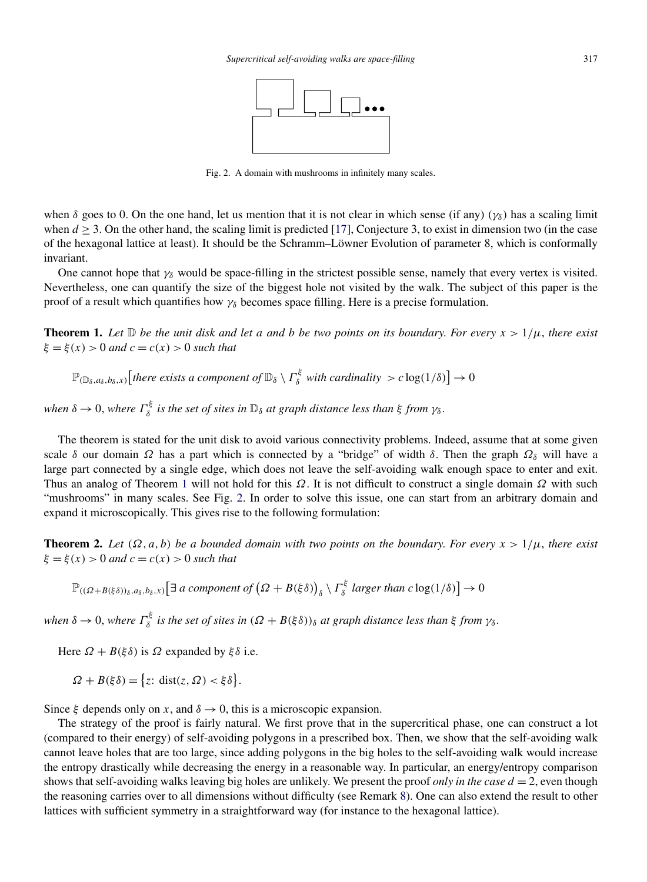

Fig. 2. A domain with mushrooms in infinitely many scales.

<span id="page-2-0"></span>when  $\delta$  goes to 0. On the one hand, let us mention that it is not clear in which sense (if any)  $(\gamma_{\delta})$  has a scaling limit when  $d \geq 3$ . On the other hand, the scaling limit is predicted [\[17\]](#page-11-0), Conjecture 3, to exist in dimension two (in the case of the hexagonal lattice at least). It should be the Schramm–Löwner Evolution of parameter 8, which is conformally invariant.

One cannot hope that *γδ* would be space-filling in the strictest possible sense, namely that every vertex is visited. Nevertheless, one can quantify the size of the biggest hole not visited by the walk. The subject of this paper is the proof of a result which quantifies how *γδ* becomes space filling. Here is a precise formulation.

**Theorem 1.** Let  $\mathbb D$  be the unit disk and let a and b be two points on its boundary. For every  $x > 1/\mu$ , there exist  $\xi = \xi(x) > 0$  *and*  $c = c(x) > 0$  *such that* 

$$
\mathbb{P}_{(\mathbb{D}_{\delta},a_{\delta},b_{\delta},x)}[there \; exists \; a \; component \; of \; \mathbb{D}_{\delta} \setminus \Gamma_{\delta}^{\xi} \; with \; cardinality \; > c \log(1/\delta)] \to 0
$$

*when*  $\delta \to 0$ , *where*  $\Gamma_{\delta}^{\xi}$  *is the set of sites in*  $\mathbb{D}_{\delta}$  *at graph distance less than*  $\xi$  *from*  $\gamma_{\delta}$ .

The theorem is stated for the unit disk to avoid various connectivity problems. Indeed, assume that at some given scale  $\delta$  our domain  $\Omega$  has a part which is connected by a "bridge" of width  $\delta$ . Then the graph  $\Omega_{\delta}$  will have a large part connected by a single edge, which does not leave the self-avoiding walk enough space to enter and exit. Thus an analog of Theorem 1 will not hold for this *Ω*. It is not difficult to construct a single domain *Ω* with such "mushrooms" in many scales. See Fig. 2. In order to solve this issue, one can start from an arbitrary domain and expand it microscopically. This gives rise to the following formulation:

**Theorem 2.** Let  $(\Omega, a, b)$  be a bounded domain with two points on the boundary. For every  $x > 1/\mu$ , there exist  $\xi = \xi(x) > 0$  *and*  $c = c(x) > 0$  *such that* 

 $\mathbb{P}_{((\Omega + B(\xi \delta))_{\delta},a_{\delta},b_{\delta},x)}\Big[\exists \text{ a component of } \big(\Omega + B(\xi \delta)\big)_{\delta} \setminus \Gamma_{\delta}^{\xi} \text{ larger than } c \log(1/\delta)\Big] \rightarrow 0$ 

*when*  $\delta \to 0$ , *where*  $\Gamma_{\delta}^{\xi}$  *is the set of sites in*  $(\Omega + B(\xi \delta))_{\delta}$  *at graph distance less than*  $\xi$  *from*  $\gamma_{\delta}$ .

Here  $\Omega + B(\xi \delta)$  is  $\Omega$  expanded by  $\xi \delta$  i.e.

$$
\Omega + B(\xi \delta) = \{ z : \text{dist}(z, \Omega) < \xi \delta \}.
$$

Since  $\xi$  depends only on *x*, and  $\delta \to 0$ , this is a microscopic expansion.

The strategy of the proof is fairly natural. We first prove that in the supercritical phase, one can construct a lot (compared to their energy) of self-avoiding polygons in a prescribed box. Then, we show that the self-avoiding walk cannot leave holes that are too large, since adding polygons in the big holes to the self-avoiding walk would increase the entropy drastically while decreasing the energy in a reasonable way. In particular, an energy/entropy comparison shows that self-avoiding walks leaving big holes are unlikely. We present the proof *only in the case*  $d = 2$ , even though the reasoning carries over to all dimensions without difficulty (see Remark [8\)](#page-9-0). One can also extend the result to other lattices with sufficient symmetry in a straightforward way (for instance to the hexagonal lattice).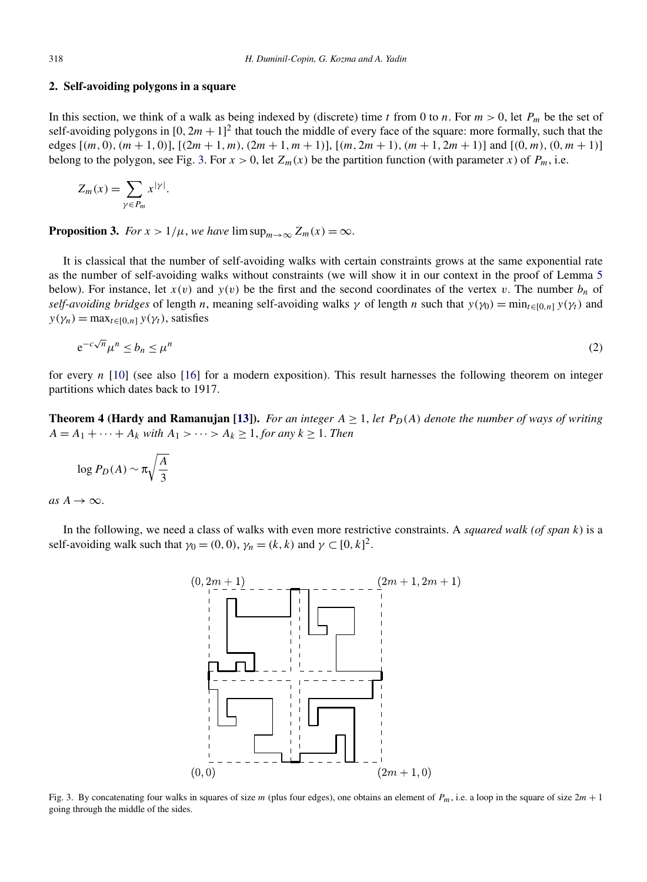## <span id="page-3-0"></span>**2. Self-avoiding polygons in a square**

In this section, we think of a walk as being indexed by (discrete) time *t* from 0 to *n*. For  $m > 0$ , let  $P_m$  be the set of self-avoiding polygons in  $[0, 2m + 1]^2$  that touch the middle of every face of the square: more formally, such that the edges [(m, 0), (m + 1, 0)], [(2m + 1, m), (2m + 1, m + 1)], [(m, 2m + 1), (m + 1, 2m + 1)] and [(0, m), (0, m + 1)] belong to the polygon, see Fig. 3. For  $x > 0$ , let  $Z_m(x)$  be the partition function (with parameter *x*) of  $P_m$ , i.e.

$$
Z_m(x) = \sum_{\gamma \in P_m} x^{|\gamma|}.
$$

**Proposition 3.** *For*  $x > 1/\mu$ , *we have*  $\limsup_{m \to \infty} Z_m(x) = \infty$ .

It is classical that the number of self-avoiding walks with certain constraints grows at the same exponential rate as the number of self-avoiding walks without constraints (we will show it in our context in the proof of Lemma [5](#page-4-0) below). For instance, let  $x(v)$  and  $y(v)$  be the first and the second coordinates of the vertex *v*. The number  $b_n$  of *self-avoiding bridges* of length *n*, meaning self-avoiding walks  $\gamma$  of length *n* such that  $y(\gamma_0) = \min_{t \in [0, n]} y(\gamma_t)$  and  $y(\gamma_n) = \max_{t \in [0,n]} y(\gamma_t)$ , satisfies

$$
e^{-c\sqrt{n}}\mu^n \le b_n \le \mu^n \tag{2}
$$

for every *n* [\[10\]](#page-10-0) (see also [\[16\]](#page-11-0) for a modern exposition). This result harnesses the following theorem on integer partitions which dates back to 1917.

**Theorem 4 (Hardy and Ramanujan [\[13\]](#page-10-0)).** *For an integer*  $A \geq 1$ , *let*  $P_D(A)$  *denote the number of ways of writing*  $A = A_1 + \cdots + A_k$  *with*  $A_1 > \cdots > A_k \ge 1$ , *for any*  $k \ge 1$ . *Then* 

$$
\log P_D(A) \sim \pi \sqrt{\frac{A}{3}}
$$

 $as A \rightarrow \infty$ .

In the following, we need a class of walks with even more restrictive constraints. A *squared walk (of span k*) is a self-avoiding walk such that  $\gamma_0 = (0, 0)$ ,  $\gamma_n = (k, k)$  and  $\gamma \subset [0, k]^2$ .



Fig. 3. By concatenating four walks in squares of size *m* (plus four edges), one obtains an element of *Pm*, i.e. a loop in the square of size 2*m* + 1 going through the middle of the sides.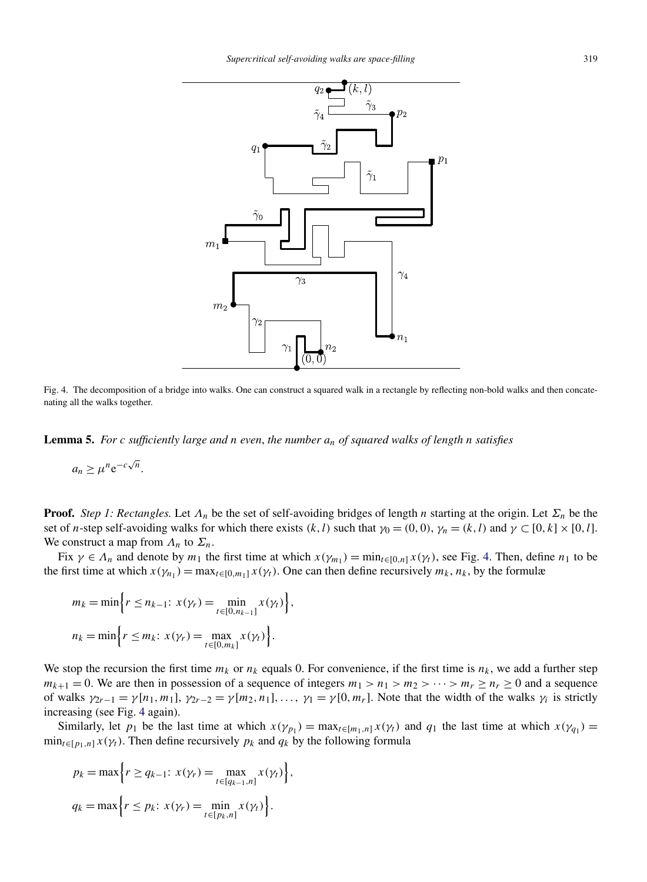<span id="page-4-0"></span>

Fig. 4. The decomposition of a bridge into walks. One can construct a squared walk in a rectangle by reflecting non-bold walks and then concatenating all the walks together.

**Lemma 5.** *For c sufficiently large and n even*, *the number an of squared walks of length n satisfies*

$$
a_n \ge \mu^n e^{-c\sqrt{n}}.
$$

**Proof.** *Step 1: Rectangles.* Let *Λn* be the set of self-avoiding bridges of length *n* starting at the origin. Let *Σn* be the set of *n*-step self-avoiding walks for which there exists  $(k, l)$  such that  $\gamma_0 = (0, 0)$ ,  $\gamma_n = (k, l)$  and  $\gamma \subset [0, k] \times [0, l]$ . We construct a map from  $\Lambda_n$  to  $\Sigma_n$ .

Fix  $\gamma \in \Lambda_n$  and denote by  $m_1$  the first time at which  $x(\gamma_{m_1}) = \min_{t \in [0,n]} x(\gamma_t)$ , see Fig. 4. Then, define  $n_1$  to be the first time at which  $x(\gamma_{n_1}) = \max_{t \in [0,m_1]} x(\gamma_t)$ . One can then define recursively  $m_k, n_k$ , by the formulæ

$$
m_k = \min \Big\{ r \le n_{k-1}: x(\gamma_r) = \min_{t \in [0, n_{k-1}]} x(\gamma_t) \Big\},\,
$$
  

$$
n_k = \min \Big\{ r \le m_k: x(\gamma_r) = \max_{t \in [0, m_k]} x(\gamma_t) \Big\}.
$$

We stop the recursion the first time  $m_k$  or  $n_k$  equals 0. For convenience, if the first time is  $n_k$ , we add a further step  $m_{k+1} = 0$ . We are then in possession of a sequence of integers  $m_1 > n_1 > m_2 > \cdots > m_r \ge n_r \ge 0$  and a sequence of walks  $\gamma_{2r-1} = \gamma[n_1, m_1], \gamma_{2r-2} = \gamma[m_2, n_1], \ldots, \gamma_1 = \gamma[0, m_r]$ . Note that the width of the walks  $\gamma_i$  is strictly increasing (see Fig. 4 again).

Similarly, let  $p_1$  be the last time at which  $x(\gamma_{p_1}) = \max_{t \in [m_1, n]} x(\gamma_t)$  and  $q_1$  the last time at which  $x(\gamma_{q_1}) =$  $\min_{t \in [p_1, n]} x(\gamma_t)$ . Then define recursively  $p_k$  and  $q_k$  by the following formula

$$
p_k = \max \Big\{ r \ge q_{k-1}: x(\gamma_r) = \max_{t \in [q_{k-1}, n]} x(\gamma_t) \Big\},\,
$$
  

$$
q_k = \max \Big\{ r \le p_k: x(\gamma_r) = \min_{t \in [p_k, n]} x(\gamma_t) \Big\}.
$$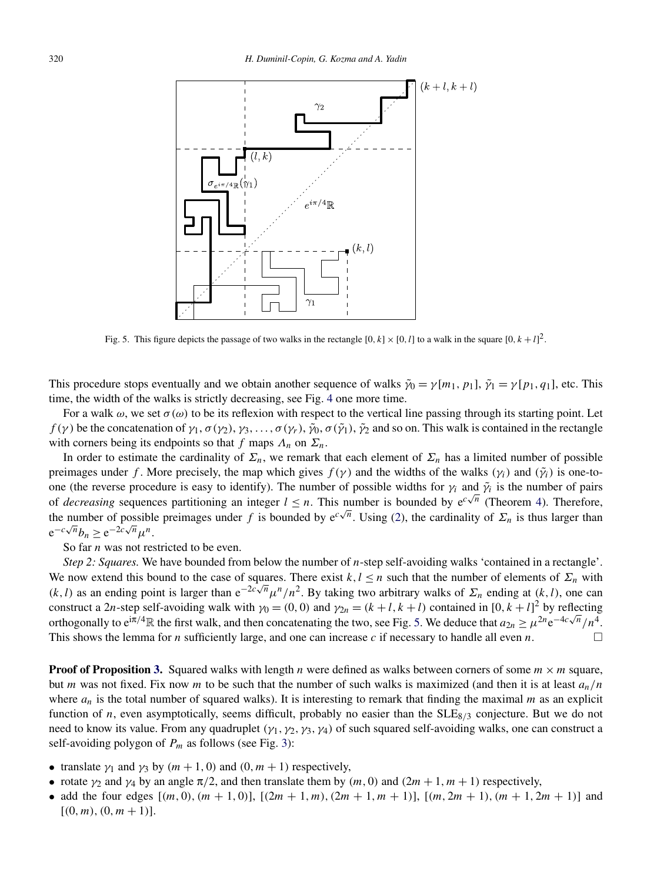

Fig. 5. This figure depicts the passage of two walks in the rectangle  $[0, k] \times [0, l]$  to a walk in the square  $[0, k + l]^2$ .

This procedure stops eventually and we obtain another sequence of walks  $\tilde{\gamma}_0 = \gamma[m_1, p_1], \tilde{\gamma}_1 = \gamma[p_1, q_1]$ , etc. This time, the width of the walks is strictly decreasing, see Fig. [4](#page-4-0) one more time.

For a walk  $\omega$ , we set  $\sigma(\omega)$  to be its reflexion with respect to the vertical line passing through its starting point. Let *f*(γ) be the concatenation of  $\gamma_1$ ,  $\sigma(\gamma_2)$ ,  $\gamma_3$ ,...,  $\sigma(\gamma_1)$ ,  $\tilde{\gamma}_2$ ,  $\sigma(\tilde{\gamma}_1)$ ,  $\tilde{\gamma}_2$  and so on. This walk is contained in the rectangle with corners being its endpoints so that *f* maps  $\Lambda_n$  on  $\Sigma_n$ .

In order to estimate the cardinality of  $\Sigma_n$ , we remark that each element of  $\Sigma_n$  has a limited number of possible preimages under *f*. More precisely, the map which gives  $f(\gamma)$  and the widths of the walks  $(\gamma_i)$  and  $(\tilde{\gamma}_i)$  is one-toone (the reverse procedure is easy to identify). The number of possible widths for  $\gamma_i$  and  $\tilde{\gamma}_i$  is the number of pairs one (the reverse procedure is easy to identity). The number of possible widths for  $\gamma_l$  and  $\gamma_l$  is the number of pairs<br>of *decreasing* sequences partitioning an integer  $l \leq n$ . This number is bounded by  $e^{c\sqrt{n}}$  (The the number of possible preimages under *f* is bounded by  $e^{c\sqrt{n}}$ . Using [\(2\)](#page-3-0), the cardinality of  $\Sigma_n$  is thus larger than  $e^{-c\sqrt{n}}b_n \geq e^{-2c\sqrt{n}}\mu^n$ .

So far *n* was not restricted to be even.

*Step 2: Squares.* We have bounded from below the number of *n*-step self-avoiding walks 'contained in a rectangle'. We now extend this bound to the case of squares. There exist  $k, l \leq n$  such that the number of elements of  $\Sigma_n$  with *(k, l)* as an ending point is larger than  $e^{-2c\sqrt{n}}\mu^n/n^2$ . By taking two arbitrary walks of  $\Sigma_n$  ending at *(k, l)*, one can construct a 2*n*-step self-avoiding walk with  $\gamma_0 = (0, 0)$  and  $\gamma_{2n} = (k + l, k + l)$  contained in  $[0, k + l]^2$  by reflecting orthogonally to  $e^{i\pi/4}$ R the first walk, and then concatenating the two, see Fig. 5. We deduce that  $a_{2n} \ge \mu^{2n} e^{-4c\sqrt{n}}/n^4$ . This shows the lemma for *n* sufficiently large, and one can increase *c* if necessary to handle all even *n*.

**Proof of Proposition [3.](#page-3-0)** Squared walks with length *n* were defined as walks between corners of some  $m \times m$  square, but *m* was not fixed. Fix now *m* to be such that the number of such walks is maximized (and then it is at least  $a_n/n$ where  $a_n$  is the total number of squared walks). It is interesting to remark that finding the maximal *m* as an explicit function of *n*, even asymptotically, seems difficult, probably no easier than the SLE<sub>8/3</sub> conjecture. But we do not need to know its value. From any quadruplet *(γ*1*,γ*2*,γ*3*,γ*4*)* of such squared self-avoiding walks, one can construct a self-avoiding polygon of  $P_m$  as follows (see Fig. [3\)](#page-3-0):

- translate  $\gamma_1$  and  $\gamma_3$  by  $(m+1, 0)$  and  $(0, m+1)$  respectively,
- rotate  $\gamma_2$  and  $\gamma_4$  by an angle  $\pi/2$ , and then translate them by  $(m, 0)$  and  $(2m + 1, m + 1)$  respectively,
- add the four edges  $[(m, 0), (m + 1, 0)]$ ,  $[(2m + 1, m), (2m + 1, m + 1)]$ ,  $[(m, 2m + 1), (m + 1, 2m + 1)]$  and  $[(0, m), (0, m + 1)].$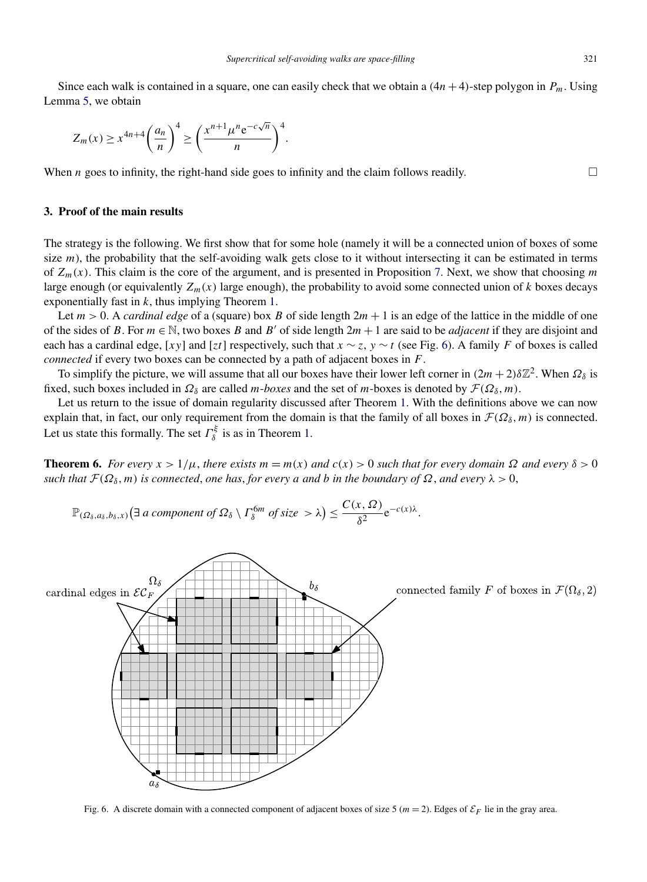<span id="page-6-0"></span>Since each walk is contained in a square, one can easily check that we obtain a  $(4n+4)$ -step polygon in  $P_m$ . Using Lemma [5,](#page-4-0) we obtain

$$
Z_m(x) \ge x^{4n+4} \left(\frac{a_n}{n}\right)^4 \ge \left(\frac{x^{n+1} \mu^n e^{-c\sqrt{n}}}{n}\right)^4.
$$

When *n* goes to infinity, the right-hand side goes to infinity and the claim follows readily.  $\Box$ 

## **3. Proof of the main results**

The strategy is the following. We first show that for some hole (namely it will be a connected union of boxes of some size  $m$ ), the probability that the self-avoiding walk gets close to it without intersecting it can be estimated in terms of *Zm(x)*. This claim is the core of the argument, and is presented in Proposition [7.](#page-7-0) Next, we show that choosing *m* large enough (or equivalently  $Z_m(x)$  large enough), the probability to avoid some connected union of  $k$  boxes decays exponentially fast in *k*, thus implying Theorem [1.](#page-2-0)

Let  $m > 0$ . A *cardinal edge* of a (square) box *B* of side length  $2m + 1$  is an edge of the lattice in the middle of one of the sides of *B*. For  $m \in \mathbb{N}$ , two boxes *B* and *B'* of side length  $2m + 1$  are said to be *adjacent* if they are disjoint and each has a cardinal edge, [*xy*] and [*zt*] respectively, such that  $x \sim z$ ,  $y \sim t$  (see Fig. 6). A family *F* of boxes is called *connected* if every two boxes can be connected by a path of adjacent boxes in *F*.

To simplify the picture, we will assume that all our boxes have their lower left corner in  $(2m + 2)\delta\mathbb{Z}^2$ . When  $\Omega_\delta$  is fixed, such boxes included in  $\Omega_\delta$  are called *m*-*boxes* and the set of *m*-boxes is denoted by  $\mathcal{F}(\Omega_\delta, m)$ .

Let us return to the issue of domain regularity discussed after Theorem [1.](#page-2-0) With the definitions above we can now explain that, in fact, our only requirement from the domain is that the family of all boxes in  $\mathcal{F}(\Omega_\delta, m)$  is connected. Let us state this formally. The set  $\Gamma_{\delta}^{\xi}$  is as in Theorem [1.](#page-2-0)

**Theorem 6.** *For every*  $x > 1/\mu$ , *there exists*  $m = m(x)$  *and*  $c(x) > 0$  *such that for every domain*  $\Omega$  *and every*  $\delta > 0$ *such that*  $\mathcal{F}(\Omega_{\delta}, m)$  *is connected, one has, for every a and b in the boundary of*  $\Omega$ *, and every*  $\lambda > 0$ *,* 

$$
\mathbb{P}_{(\Omega_\delta,a_\delta,b_\delta,x)}\big(\exists a \text{ component of } \Omega_\delta \setminus \Gamma_\delta^{\text{6m}} \text{ of size } > \lambda\big) \leq \frac{C(x,\Omega)}{\delta^2}e^{-c(x)\lambda}.
$$



Fig. 6. A discrete domain with a connected component of adjacent boxes of size 5 ( $m = 2$ ). Edges of  $\mathcal{E}_F$  lie in the gray area.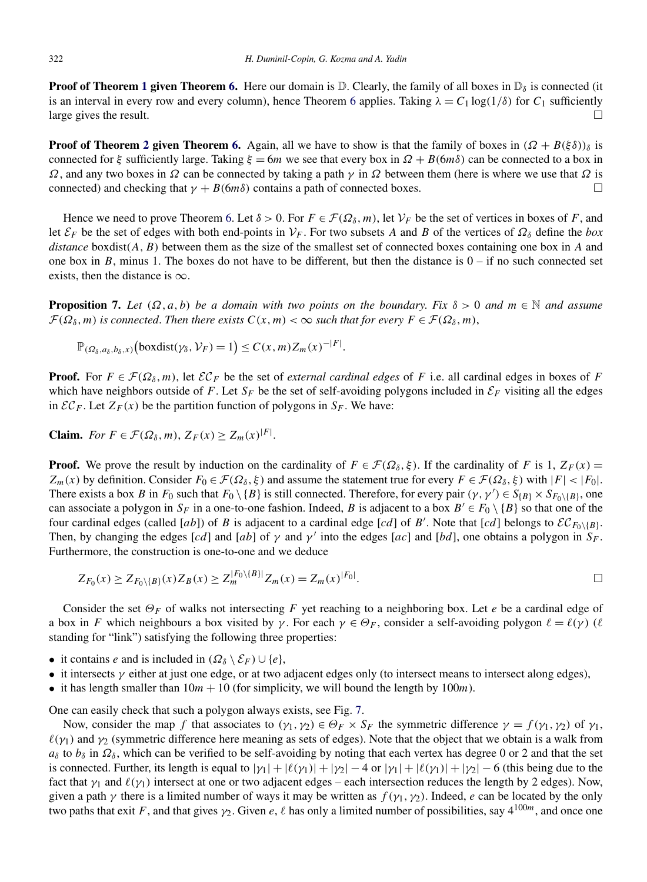<span id="page-7-0"></span>**Proof of Theorem [1](#page-2-0) given Theorem [6.](#page-6-0)** Here our domain is  $D$ . Clearly, the family of all boxes in  $D<sub>δ</sub>$  is connected (it is an interval in every row and every column), hence Theorem [6](#page-6-0) applies. Taking  $\lambda = C_1 \log(1/\delta)$  for  $C_1$  sufficiently large gives the result.  $\Box$ 

**Proof of Theorem [2](#page-2-0) given Theorem [6.](#page-6-0)** Again, all we have to show is that the family of boxes in  $(Q + B(\xi \delta))$ <sub>δ</sub> is connected for *ξ* sufficiently large. Taking  $\xi = 6m$  we see that every box in  $\Omega + B(6m\delta)$  can be connected to a box in *Ω*, and any two boxes in *Ω* can be connected by taking a path *γ* in *Ω* between them (here is where we use that *Ω* is connected) and checking that  $\gamma + B(6m\delta)$  contains a path of connected boxes.

Hence we need to prove Theorem [6.](#page-6-0) Let  $\delta > 0$ . For  $F \in \mathcal{F}(\Omega_\delta, m)$ , let  $\mathcal{V}_F$  be the set of vertices in boxes of *F*, and let  $\mathcal{E}_F$  be the set of edges with both end-points in  $\mathcal{V}_F$ . For two subsets *A* and *B* of the vertices of  $\Omega_\delta$  define the *box distance* boxdist*(A,B)* between them as the size of the smallest set of connected boxes containing one box in *A* and one box in *B*, minus 1. The boxes do not have to be different, but then the distance is  $0 - if$  no such connected set exists, then the distance is  $\infty$ .

**Proposition 7.** Let  $(\Omega, a, b)$  be a domain with two points on the boundary. Fix  $\delta > 0$  and  $m \in \mathbb{N}$  and assume  $\mathcal{F}(\Omega_{\delta},m)$  *is connected. Then there exists*  $C(x,m) < \infty$  *such that for every*  $F \in \mathcal{F}(\Omega_{\delta},m)$ ,

*.*

$$
\mathbb{P}_{(\Omega_{\delta},a_{\delta},b_{\delta},x)}\big(\text{boxdist}(\gamma_{\delta},\mathcal{V}_F)=1\big)\leq C(x,m)Z_m(x)^{-|F|}
$$

**Proof.** For  $F \in \mathcal{F}(\Omega_{\delta}, m)$ , let  $\mathcal{EC}_F$  be the set of *external cardinal edges* of *F* i.e. all cardinal edges in boxes of *F* which have neighbors outside of *F*. Let  $S_F$  be the set of self-avoiding polygons included in  $\mathcal{E}_F$  visiting all the edges in  $\mathcal{EC}_F$ . Let  $Z_F(x)$  be the partition function of polygons in  $S_F$ . We have:

**Claim.** *For*  $F \in \mathcal{F}(\Omega_\delta, m)$ ,  $Z_F(x) \ge Z_m(x)^{|F|}$ .

**Proof.** We prove the result by induction on the cardinality of  $F \in \mathcal{F}(\Omega_\delta, \xi)$ . If the cardinality of *F* is 1,  $Z_F(x) =$  $Z_m(x)$  by definition. Consider  $F_0 \in \mathcal{F}(\Omega_\delta, \xi)$  and assume the statement true for every  $F \in \mathcal{F}(\Omega_\delta, \xi)$  with  $|F| < |F_0|$ . There exists a box *B* in  $F_0$  such that  $F_0 \setminus \{B\}$  is still connected. Therefore, for every pair  $(\gamma, \gamma') \in S_{\{B\}} \times S_{F_0 \setminus \{B\}}$ , one can associate a polygon in  $S_F$  in a one-to-one fashion. Indeed, *B* is adjacent to a box  $B' \in F_0 \setminus \{B\}$  so that one of the four cardinal edges (called [ab]) of *B* is adjacent to a cardinal edge [cd] of *B'*. Note that [cd] belongs to  $\mathcal{EC}_{F_0\setminus{B}}$ . Then, by changing the edges [*cd*] and [*ab*] of  $\gamma$  and  $\gamma'$  into the edges [*ac*] and [*bd*], one obtains a polygon in  $S_F$ . Furthermore, the construction is one-to-one and we deduce

$$
Z_{F_0}(x) \ge Z_{F_0 \setminus \{B\}}(x) Z_B(x) \ge Z_m^{|F_0 \setminus \{B\}|} Z_m(x) = Z_m(x)^{|F_0|}.
$$

Consider the set *ΘF* of walks not intersecting *F* yet reaching to a neighboring box. Let *e* be a cardinal edge of a box in *F* which neighbours a box visited by *γ*. For each  $\gamma \in \Theta_F$ , consider a self-avoiding polygon  $\ell = \ell(\gamma)$  ( $\ell$ standing for "link") satisfying the following three properties:

- it contains *e* and is included in  $(\Omega_{\delta} \setminus \mathcal{E}_F) \cup \{e\},\$
- it intersects  $\gamma$  either at just one edge, or at two adjacent edges only (to intersect means to intersect along edges),
- it has length smaller than  $10m + 10$  (for simplicity, we will bound the length by  $100m$ ).

One can easily check that such a polygon always exists, see Fig. [7.](#page-8-0)

Now, consider the map *f* that associates to  $(\gamma_1, \gamma_2) \in \Theta_F \times S_F$  the symmetric difference  $\gamma = f(\gamma_1, \gamma_2)$  of  $\gamma_1$ ,  $\ell(\gamma_1)$  and  $\gamma_2$  (symmetric difference here meaning as sets of edges). Note that the object that we obtain is a walk from  $a_\delta$  to  $b_\delta$  in  $\Omega_\delta$ , which can be verified to be self-avoiding by noting that each vertex has degree 0 or 2 and that the set is connected. Further, its length is equal to  $|\gamma_1| + |\ell(\gamma_1)| + |\gamma_2| - 4$  or  $|\gamma_1| + |\ell(\gamma_1)| + |\gamma_2| - 6$  (this being due to the fact that  $\gamma_1$  and  $\ell(\gamma_1)$  intersect at one or two adjacent edges – each intersection reduces the length by 2 edges). Now, given a path  $\gamma$  there is a limited number of ways it may be written as  $f(\gamma_1, \gamma_2)$ . Indeed, *e* can be located by the only two paths that exit *F*, and that gives  $\gamma_2$ . Given *e*,  $\ell$  has only a limited number of possibilities, say  $4^{100m}$ , and once one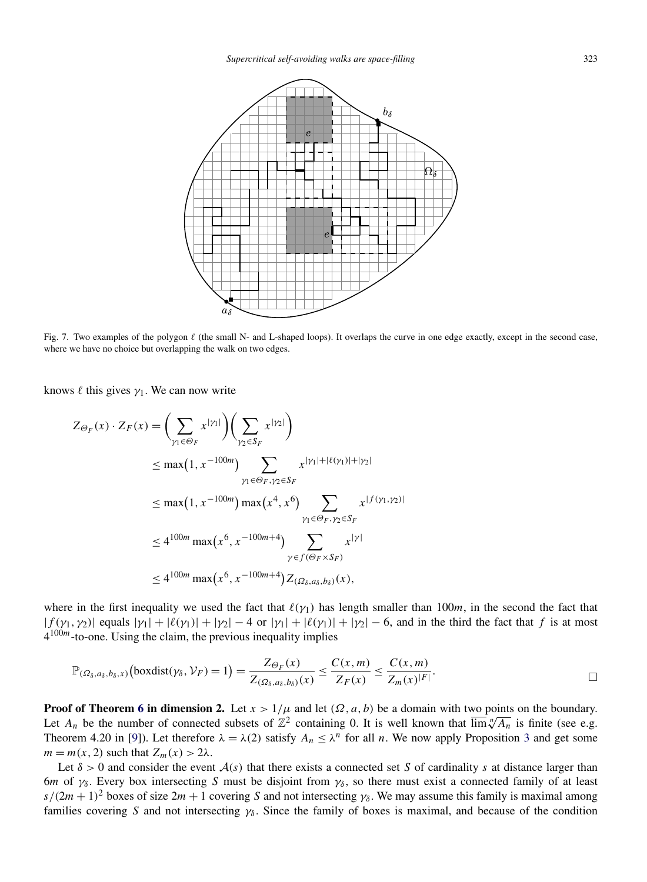<span id="page-8-0"></span>

Fig. 7. Two examples of the polygon  $\ell$  (the small N- and L-shaped loops). It overlaps the curve in one edge exactly, except in the second case, where we have no choice but overlapping the walk on two edges.

knows  $\ell$  this gives  $\gamma_1$ . We can now write

$$
Z_{\Theta_F}(x) \cdot Z_F(x) = \left(\sum_{\gamma_1 \in \Theta_F} x^{|\gamma_1|}\right) \left(\sum_{\gamma_2 \in S_F} x^{|\gamma_2|}\right)
$$
  
\n
$$
\leq \max(1, x^{-100m}) \sum_{\gamma_1 \in \Theta_F, \gamma_2 \in S_F} x^{|\gamma_1| + |\ell(\gamma_1)| + |\gamma_2|}
$$
  
\n
$$
\leq \max(1, x^{-100m}) \max(x^4, x^6) \sum_{\gamma_1 \in \Theta_F, \gamma_2 \in S_F} x^{|\{f(\gamma_1, \gamma_2)|}\}
$$
  
\n
$$
\leq 4^{100m} \max(x^6, x^{-100m+4}) \sum_{\gamma \in f(\Theta_F \times S_F)} x^{|\gamma|}
$$
  
\n
$$
\leq 4^{100m} \max(x^6, x^{-100m+4}) Z_{(\Omega_\delta, a_\delta, b_\delta)}(x),
$$

where in the first inequality we used the fact that  $\ell(\gamma_1)$  has length smaller than 100*m*, in the second the fact that  $|f(\gamma_1, \gamma_2)|$  equals  $|\gamma_1| + |\ell(\gamma_1)| + |\gamma_2| - 4$  or  $|\gamma_1| + |\ell(\gamma_1)| + |\gamma_2| - 6$ , and in the third the fact that *f* is at most 4100*m*-to-one. Using the claim, the previous inequality implies

$$
\mathbb{P}_{(\Omega_{\delta},a_{\delta},b_{\delta},x)}\big(\text{boxdist}(\gamma_{\delta},\mathcal{V}_{F})=1\big)=\frac{Z_{\Theta_{F}}(x)}{Z_{(\Omega_{\delta},a_{\delta},b_{\delta})}(x)}\leq\frac{C(x,m)}{Z_{F}(x)}\leq\frac{C(x,m)}{Z_{m}(x)^{|F|}}.
$$

**Proof of Theorem [6](#page-6-0) in dimension 2.** Let  $x > 1/\mu$  and let  $(\Omega, a, b)$  be a domain with two points on the boundary. Let  $A_n$  be the number of connected subsets of  $\mathbb{Z}^2$  containing 0. It is well known that  $\overline{\lim_{n}} \sqrt[n]{A_n}$  is finite (see e.g. Theorem 4.20 in [\[9\]](#page-10-0)). Let therefore  $\lambda = \lambda(2)$  satisfy  $A_n \leq \lambda^n$  for all *n*. We now apply Proposition [3](#page-3-0) and get some  $m = m(x, 2)$  such that  $Z_m(x) > 2\lambda$ .

Let  $\delta > 0$  and consider the event  $\mathcal{A}(s)$  that there exists a connected set *S* of cardinality *s* at distance larger than 6*m* of  $\gamma_{\delta}$ . Every box intersecting *S* must be disjoint from  $\gamma_{\delta}$ , so there must exist a connected family of at least  $s/(2m+1)^2$  boxes of size  $2m+1$  covering *S* and not intersecting  $\gamma_\delta$ . We may assume this family is maximal among families covering *S* and not intersecting *γδ* . Since the family of boxes is maximal, and because of the condition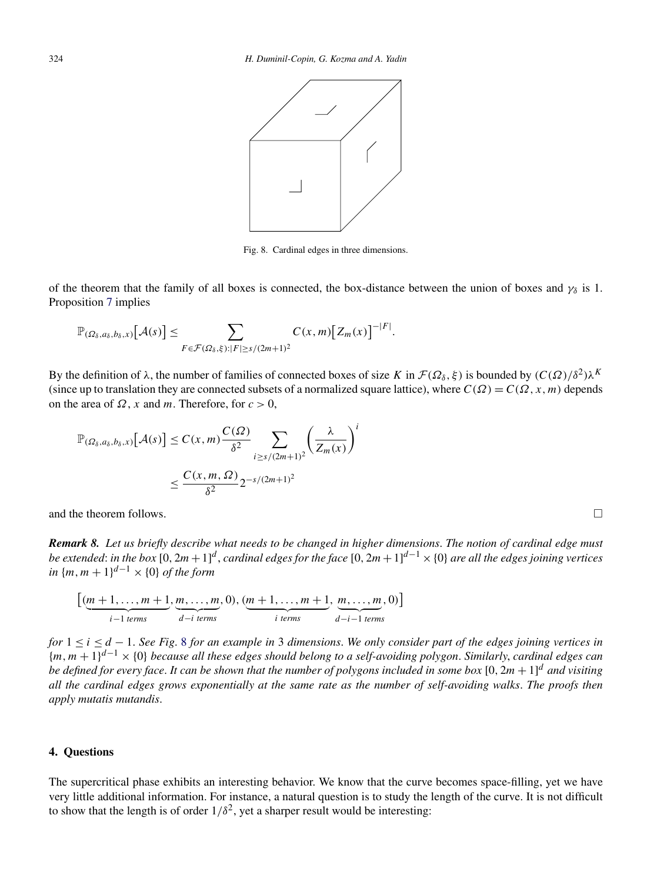<span id="page-9-0"></span>

Fig. 8. Cardinal edges in three dimensions.

of the theorem that the family of all boxes is connected, the box-distance between the union of boxes and  $\gamma_{\delta}$  is 1. Proposition [7](#page-7-0) implies

$$
\mathbb{P}_{(\Omega_\delta,a_\delta,b_\delta,x)}\big[\mathcal{A}(s)\big]\leq \sum_{F\in\mathcal{F}(\Omega_\delta,\xi):|F|\geq s/(2m+1)^2}C(x,m)\big[Z_m(x)\big]^{-|F|}.
$$

By the definition of  $\lambda$ , the number of families of connected boxes of size *K* in  $\mathcal{F}(\Omega_\delta, \xi)$  is bounded by  $(C(\Omega)/\delta^2)\lambda^K$ (since up to translation they are connected subsets of a normalized square lattice), where  $C(\Omega) = C(\Omega, x, m)$  depends on the area of  $\Omega$ , *x* and *m*. Therefore, for  $c > 0$ ,

$$
\mathbb{P}_{(\Omega_{\delta},a_{\delta},b_{\delta},x)}[\mathcal{A}(s)] \le C(x,m) \frac{C(\Omega)}{\delta^2} \sum_{i \ge s/(2m+1)^2} \left(\frac{\lambda}{Z_m(x)}\right)^i
$$

$$
\le \frac{C(x,m,\Omega)}{\delta^2} 2^{-s/(2m+1)^2}
$$

and the theorem follows.

*Remark 8. Let us briefly describe what needs to be changed in higher dimensions*. *The notion of cardinal edge must be extended*: *in the box* [0*,* 2*m*+1] *<sup>d</sup>* , *cardinal edges for the face* [0*,* 2*m*+1] *<sup>d</sup>*−<sup>1</sup> ×{0} *are all the edges joining vertices in*  ${m, m + 1}^{d-1} \times {0}$  *of the form* 

$$
\left[\underbrace{(m+1,\ldots,m+1}_{i-1 \text{ terms}},\underbrace{m,\ldots,m}_{d-i \text{ terms}},0),\underbrace{(m+1,\ldots,m+1}_{i \text{ terms}},\underbrace{m,\ldots,m}_{d-i-1 \text{ terms}},0)\right]
$$

*for* 1 ≤ *i* ≤ *d* − 1. *See Fig*. 8 *for an example in* 3 *dimensions*. *We only consider part of the edges joining vertices in* {*m,m* + 1}*d*−<sup>1</sup> × {0} *because all these edges should belong to a self-avoiding polygon*. *Similarly*, *cardinal edges can be defined for every face*. *It can be shown that the number of polygons included in some box* [0*,* 2*m* + 1] *<sup>d</sup> and visiting all the cardinal edges grows exponentially at the same rate as the number of self-avoiding walks*. *The proofs then apply mutatis mutandis*.

## **4. Questions**

The supercritical phase exhibits an interesting behavior. We know that the curve becomes space-filling, yet we have very little additional information. For instance, a natural question is to study the length of the curve. It is not difficult to show that the length is of order  $1/\delta^2$ , yet a sharper result would be interesting:

 $\Box$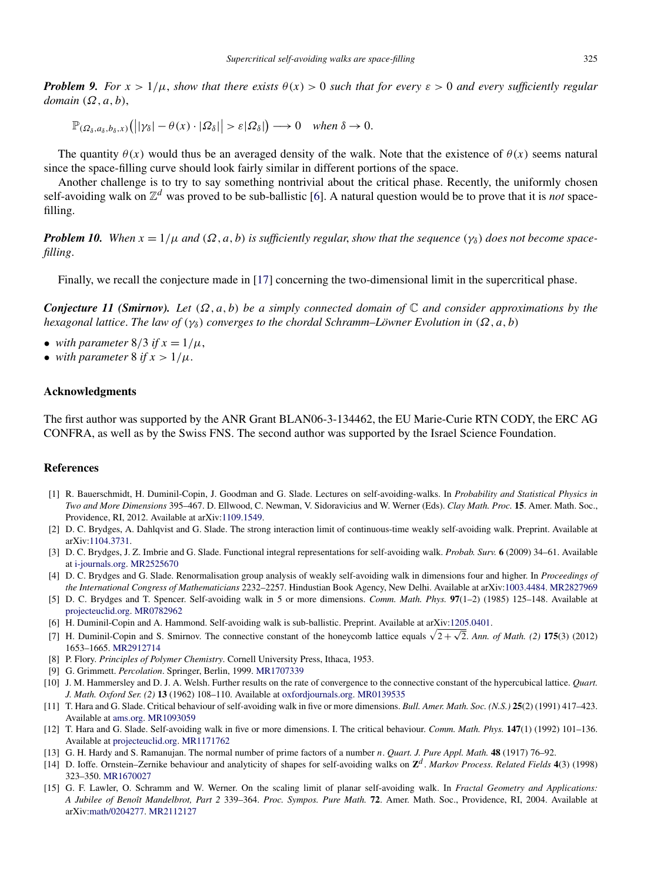<span id="page-10-0"></span>*Problem 9. For*  $x > 1/\mu$ , *show that there exists*  $\theta(x) > 0$  *such that for every*  $\varepsilon > 0$  *and every sufficiently regular domain (Ω,a,b)*,

 $\mathbb{P}_{(\Omega_\delta, a_\delta, b_\delta, x)}(|\mathcal{V}_\delta| - \theta(x) \cdot |\Omega_\delta| | > \varepsilon |\Omega_\delta| \to 0$  *when*  $\delta \to 0$ *.* 

The quantity  $\theta(x)$  would thus be an averaged density of the walk. Note that the existence of  $\theta(x)$  seems natural since the space-filling curve should look fairly similar in different portions of the space.

Another challenge is to try to say something nontrivial about the critical phase. Recently, the uniformly chosen self-avoiding walk on  $\mathbb{Z}^d$  was proved to be sub-ballistic [6]. A natural question would be to prove that it is *not* spacefilling.

*Problem 10. When*  $x = 1/\mu$  *and*  $(\Omega, a, b)$  *is sufficiently regular, show that the sequence*  $(\gamma_{\delta})$  *does not become spacefilling*.

Finally, we recall the conjecture made in [\[17\]](#page-11-0) concerning the two-dimensional limit in the supercritical phase.

*Conjecture 11 (Smirnov). Let (Ω,a,b) be a simply connected domain of* C *and consider approximations by the hexagonal lattice*. *The law of (γδ) converges to the chordal Schramm–Löwner Evolution in (Ω,a,b)*

- *with parameter*  $8/3$  *if*  $x = 1/\mu$ ,
- *with parameter* 8 *if*  $x > 1/\mu$ .

## **Acknowledgments**

The first author was supported by the ANR Grant BLAN06-3-134462, the EU Marie-Curie RTN CODY, the ERC AG CONFRA, as well as by the Swiss FNS. The second author was supported by the Israel Science Foundation.

## **References**

- [1] R. Bauerschmidt, H. Duminil-Copin, J. Goodman and G. Slade. Lectures on self-avoiding-walks. In *Probability and Statistical Physics in Two and More Dimensions* 395–467. D. Ellwood, C. Newman, V. Sidoravicius and W. Werner (Eds). *Clay Math. Proc.* **15**. Amer. Math. Soc., Providence, RI, 2012. Available at arXiv[:1109.1549.](http://arxiv.org/abs/1109.1549)
- [2] D. C. Brydges, A. Dahlqvist and G. Slade. The strong interaction limit of continuous-time weakly self-avoiding walk. Preprint. Available at arXiv[:1104.3731](http://arxiv.org/abs/1104.3731).
- [3] D. C. Brydges, J. Z. Imbrie and G. Slade. Functional integral representations for self-avoiding walk. *Probab. Surv.* **6** (2009) 34–61. Available at [i-journals.org.](http://www.i-journals.org/ps/viewarticle.php?id=152&layout=abstract) [MR2525670](http://www.ams.org/mathscinet-getitem?mr=2525670)
- [4] D. C. Brydges and G. Slade. Renormalisation group analysis of weakly self-avoiding walk in dimensions four and higher. In *Proceedings of the International Congress of Mathematicians* 2232–2257. Hindustian Book Agency, New Delhi. Available at arXiv[:1003.4484.](http://arxiv.org/abs/1003.4484) [MR2827969](http://www.ams.org/mathscinet-getitem?mr=2827969)
- [5] D. C. Brydges and T. Spencer. Self-avoiding walk in 5 or more dimensions. *Comm. Math. Phys.* **97**(1–2) (1985) 125–148. Available at [projecteuclid.org](http://projecteuclid.org/DPubS?service=UI&version=1.0&verb=Display&handle=euclid.cmp/1103941982). [MR0782962](http://www.ams.org/mathscinet-getitem?mr=0782962)
- [6] H. Duminil-Copin and A. Hammond. Self-avoiding walk is sub-ballistic. Preprint. Available at arXiv[:1205.0401.](http://arxiv.org/abs/1205.0401)
- 1. Duminil-Copin and S. Smirnov. The connective constant of the honeycomb lattice equals  $\sqrt{2+\sqrt{2}}$ . *Ann. of Math.* (2) 175(3) (2012) 1653–1665. [MR2912714](http://www.ams.org/mathscinet-getitem?mr=2912714)
- [8] P. Flory. *Principles of Polymer Chemistry*. Cornell University Press, Ithaca, 1953.
- [9] G. Grimmett. *Percolation*. Springer, Berlin, 1999. [MR1707339](http://www.ams.org/mathscinet-getitem?mr=1707339)
- [10] J. M. Hammersley and D. J. A. Welsh. Further results on the rate of convergence to the connective constant of the hypercubical lattice. *Quart. J. Math. Oxford Ser. (2)* **13** (1962) 108–110. Available at [oxfordjournals.org.](http://qjmath.oxfordjournals.org/content/13/1/108.full.pdf+html) [MR0139535](http://www.ams.org/mathscinet-getitem?mr=0139535)
- [11] T. Hara and G. Slade. Critical behaviour of self-avoiding walk in five or more dimensions. *Bull. Amer. Math. Soc. (N.S.)* **25**(2) (1991) 417–423. Available at [ams.org](http://www.ams.org/journals/bull/1991-25-02/S0273-0979-1991-16085-4/home.html). [MR1093059](http://www.ams.org/mathscinet-getitem?mr=1093059)
- [12] T. Hara and G. Slade. Self-avoiding walk in five or more dimensions. I. The critical behaviour. *Comm. Math. Phys.* **147**(1) (1992) 101–136. Available at [projecteuclid.org](http://projecteuclid.org/DPubS?service=UI&version=1.0&verb=Display&handle=euclid.cmp/1104250528). [MR1171762](http://www.ams.org/mathscinet-getitem?mr=1171762)
- [13] G. H. Hardy and S. Ramanujan. The normal number of prime factors of a number *n*. *Quart. J. Pure Appl. Math.* **48** (1917) 76–92.
- [14] D. Ioffe. Ornstein–Zernike behaviour and analyticity of shapes for self-avoiding walks on **Z***<sup>d</sup>* . *Markov Process. Related Fields* **4**(3) (1998) 323–350. [MR1670027](http://www.ams.org/mathscinet-getitem?mr=1670027)
- [15] G. F. Lawler, O. Schramm and W. Werner. On the scaling limit of planar self-avoiding walk. In *Fractal Geometry and Applications: A Jubilee of Benoît Mandelbrot, Part 2* 339–364. *Proc. Sympos. Pure Math.* **72**. Amer. Math. Soc., Providence, RI, 2004. Available at arXiv[:math/0204277](http://arxiv.org/abs/math/0204277). [MR2112127](http://www.ams.org/mathscinet-getitem?mr=2112127)